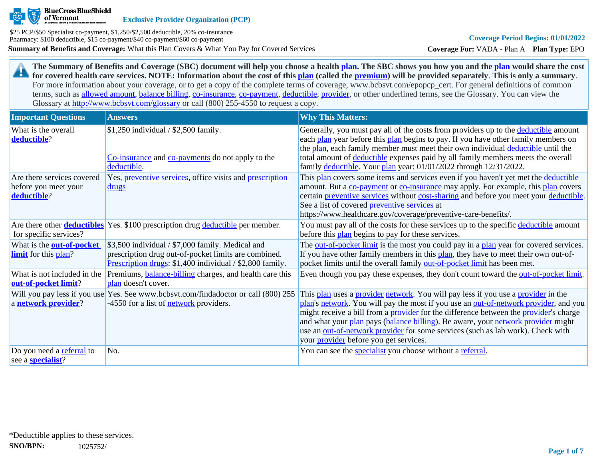

**Exclusive Provider Organization (PCP)**

**Summary of Benefits and Coverage:** What this Plan Covers & What You Pay for Covered Services \$25 PCP/\$50 Specialist co-payment, \$1,250/\$2,500 deductible, 20% co-insurance Pharmacy: \$100 deductible, \$15 co-payment/\$40 co-payment/\$60 co-payment

**Coverage For:** VADA - Plan A **Plan Type:** EPO

**The Summary of Benefits and Coverage (SBC) document will help you choose a health [plan](https://www.healthcare.gov/sbc-glossary/#plan). The SBC shows you how you and the [plan](https://www.healthcare.gov/sbc-glossary/#plan) would share the cost**  29 **for covered health care services. NOTE: Information about the cost of this [plan](https://www.healthcare.gov/sbc-glossary/#plan) (called the [premium](https://www.healthcare.gov/sbc-glossary/#premium)) will be provided separately**. **This is only a summary**. For more information about your coverage, or to get a copy of the complete terms of coverage, www.bcbsvt.com/epopcp\_cert. For general definitions of common terms, such as [allowed amount](https://www.healthcare.gov/sbc-glossary/#allowed-amount), [balance billing,](https://www.healthcare.gov/sbc-glossary/#balance-billing) [co-insurance,](https://www.healthcare.gov/sbc-glossary/#coinsurance) [co-payment,](https://www.healthcare.gov/sbc-glossary/#copayment) [deductible](https://www.healthcare.gov/sbc-glossary/#deductible), [provider,](https://www.healthcare.gov/sbc-glossary/#provider) or other underlined terms, see the Glossary. You can view the Glossary at <http://www.bcbsvt.com/glossary>or call (800) 255-4550 to request a copy.

| <b>Important Questions</b>                                        | <b>Answers</b>                                                                                                                                                       | <b>Why This Matters:</b>                                                                                                                                                                                                                                                                                                                                                                                                                                                                                  |
|-------------------------------------------------------------------|----------------------------------------------------------------------------------------------------------------------------------------------------------------------|-----------------------------------------------------------------------------------------------------------------------------------------------------------------------------------------------------------------------------------------------------------------------------------------------------------------------------------------------------------------------------------------------------------------------------------------------------------------------------------------------------------|
| What is the overall<br>deductible?                                | $$1,250$ individual / \$2,500 family.<br>Co-insurance and co-payments do not apply to the<br>deductible.                                                             | Generally, you must pay all of the costs from providers up to the deductible amount<br>each plan year before this plan begins to pay. If you have other family members on<br>the plan, each family member must meet their own individual deductible until the<br>total amount of deductible expenses paid by all family members meets the overall<br>family deductible. Your plan year: 01/01/2022 through 12/31/2022.                                                                                    |
| Are there services covered<br>before you meet your<br>deductible? | Yes, preventive services, office visits and prescription<br>drugs                                                                                                    | This plan covers some items and services even if you haven't yet met the deductible<br>amount. But a co-payment or co-insurance may apply. For example, this plan covers<br>certain preventive services without cost-sharing and before you meet your deductible.<br>See a list of covered <b>preventive services</b> at<br>https://www.healthcare.gov/coverage/preventive-care-benefits/.                                                                                                                |
| for specific services?                                            | Are there other <b>deductibles</b> Yes. \$100 prescription drug deductible per member.                                                                               | You must pay all of the costs for these services up to the specific deductible amount<br>before this plan begins to pay for these services.                                                                                                                                                                                                                                                                                                                                                               |
| What is the <b>out-of-pocket</b><br><b>limit</b> for this plan?   | \$3,500 individual / \$7,000 family. Medical and<br>prescription drug out-of-pocket limits are combined.<br>Prescription drugs: \$1,400 individual / \$2,800 family. | The out-of-pocket limit is the most you could pay in a plan year for covered services.<br>If you have other family members in this plan, they have to meet their own out-of-<br>pocket limits until the overall family out-of-pocket limit has been met.                                                                                                                                                                                                                                                  |
| What is not included in the<br>out-of-pocket limit?               | Premiums, <b>balance-billing</b> charges, and health care this<br>plan doesn't cover.                                                                                | Even though you pay these expenses, they don't count toward the <u>out-of-pocket limit</u> .                                                                                                                                                                                                                                                                                                                                                                                                              |
| a network provider?                                               | Will you pay less if you use Yes. See www.bcbsvt.com/findadoctor or call (800) 255<br>-4550 for a list of <b>network</b> providers.                                  | This plan uses a provider network. You will pay less if you use a provider in the<br>plan's network. You will pay the most if you use an out-of-network provider, and you<br>might receive a bill from a <b>provider</b> for the difference between the <b>provider</b> 's charge<br>and what your plan pays (balance billing). Be aware, your network provider might<br>use an out-of-network provider for some services (such as lab work). Check with<br>your <i>provider</i> before you get services. |
| Do you need a referral to<br>see a <b>specialist</b> ?            | No.                                                                                                                                                                  | You can see the <b>specialist</b> you choose without a referral.                                                                                                                                                                                                                                                                                                                                                                                                                                          |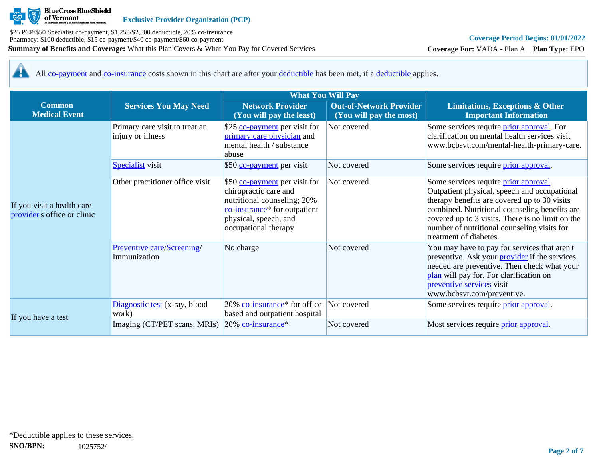

**Coverage For:** VADA - Plan A **Plan Type:** EPO

All [co-payment](https://www.healthcare.gov/sbc-glossary/#copayment) and [co-insurance](https://www.healthcare.gov/sbc-glossary/#coinsurance) costs shown in this chart are after your [deductible](https://www.healthcare.gov/sbc-glossary/#deductible) has been met, if a [deductible](https://www.healthcare.gov/sbc-glossary/#deductible) applies. 44

|                                                           |                                                     | <b>What You Will Pay</b>                                                                                                                                                           |                                                           |                                                                                                                                                                                                                                                                                                                     |
|-----------------------------------------------------------|-----------------------------------------------------|------------------------------------------------------------------------------------------------------------------------------------------------------------------------------------|-----------------------------------------------------------|---------------------------------------------------------------------------------------------------------------------------------------------------------------------------------------------------------------------------------------------------------------------------------------------------------------------|
| <b>Common</b><br><b>Medical Event</b>                     | <b>Services You May Need</b>                        | <b>Network Provider</b><br>(You will pay the least)                                                                                                                                | <b>Out-of-Network Provider</b><br>(You will pay the most) | <b>Limitations, Exceptions &amp; Other</b><br><b>Important Information</b>                                                                                                                                                                                                                                          |
|                                                           | Primary care visit to treat an<br>injury or illness | \$25 co-payment per visit for<br>primary care physician and<br>mental health / substance<br>abuse                                                                                  | Not covered                                               | Some services require <i>prior approval</i> . For<br>clarification on mental health services visit<br>www.bcbsvt.com/mental-health-primary-care.                                                                                                                                                                    |
|                                                           | <b>Specialist</b> visit                             | \$50 co-payment per visit                                                                                                                                                          | Not covered                                               | Some services require <i>prior approval</i> .                                                                                                                                                                                                                                                                       |
| If you visit a health care<br>provider's office or clinic | Other practitioner office visit                     | \$50 co-payment per visit for<br>chiropractic care and<br>nutritional counseling; 20%<br>co-insurance <sup>*</sup> for outpatient<br>physical, speech, and<br>occupational therapy | Not covered                                               | Some services require prior approval.<br>Outpatient physical, speech and occupational<br>therapy benefits are covered up to 30 visits<br>combined. Nutritional counseling benefits are<br>covered up to 3 visits. There is no limit on the<br>number of nutritional counseling visits for<br>treatment of diabetes. |
|                                                           | Preventive care/Screening/<br>Immunization          | No charge                                                                                                                                                                          | Not covered                                               | You may have to pay for services that aren't<br>preventive. Ask your <b>provider</b> if the services<br>needed are preventive. Then check what your<br>plan will pay for. For clarification on<br>preventive services visit<br>www.bcbsvt.com/preventive.                                                           |
|                                                           | Diagnostic test (x-ray, blood<br>work)              | 20% co-insurance <sup>*</sup> for office-Not covered<br>based and outpatient hospital                                                                                              |                                                           | Some services require <i>prior approval</i> .                                                                                                                                                                                                                                                                       |
| If you have a test                                        | Imaging (CT/PET scans, MRIs)                        | $20\%$ co-insurance <sup>*</sup>                                                                                                                                                   | Not covered                                               | Most services require <i>prior approval</i> .                                                                                                                                                                                                                                                                       |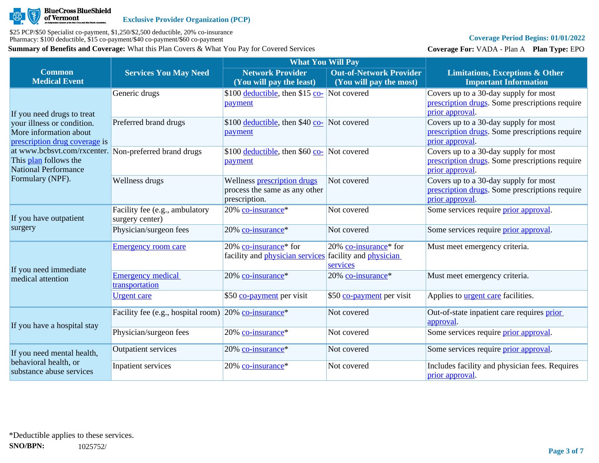

# **Coverage Period Begins: 01/01/2022**

**Coverage For:** VADA - Plan A **Plan Type:** EPO

|                                                                                                               |                                                                     | <b>What You Will Pay</b>                                                      |                                                                    |                                                                                                            |
|---------------------------------------------------------------------------------------------------------------|---------------------------------------------------------------------|-------------------------------------------------------------------------------|--------------------------------------------------------------------|------------------------------------------------------------------------------------------------------------|
| <b>Common</b><br><b>Medical Event</b>                                                                         | <b>Services You May Need</b>                                        | <b>Network Provider</b><br>(You will pay the least)                           | <b>Out-of-Network Provider</b><br>(You will pay the most)          | <b>Limitations, Exceptions &amp; Other</b><br><b>Important Information</b>                                 |
| If you need drugs to treat                                                                                    | Generic drugs                                                       | \$100 deductible, then \$15 co- Not covered<br>payment                        |                                                                    | Covers up to a 30-day supply for most<br>prescription drugs. Some prescriptions require<br>prior approval. |
| your illness or condition.<br>More information about<br>prescription drug coverage is                         | Preferred brand drugs                                               | \$100 <u>deductible</u> , then \$40 co- Not covered<br>payment                |                                                                    | Covers up to a 30-day supply for most<br>prescription drugs. Some prescriptions require<br>prior approval. |
| at www.bcbsvt.com/rxcenter. Non-preferred brand drugs<br>This plan follows the<br><b>National Performance</b> |                                                                     | \$100 <u>deductible</u> , then \$60 co- Not covered<br>payment                |                                                                    | Covers up to a 30-day supply for most<br>prescription drugs. Some prescriptions require<br>prior approval. |
| Formulary (NPF).                                                                                              | Wellness drugs                                                      | Wellness prescription drugs<br>process the same as any other<br>prescription. | Not covered                                                        | Covers up to a 30-day supply for most<br>prescription drugs. Some prescriptions require<br>prior approval. |
| If you have outpatient                                                                                        | Facility fee (e.g., ambulatory<br>surgery center)                   | 20% co-insurance*                                                             | Not covered                                                        | Some services require <i>prior</i> approval.                                                               |
| surgery                                                                                                       | Physician/surgeon fees                                              | 20% co-insurance*                                                             | Not covered                                                        | Some services require prior approval.                                                                      |
| If you need immediate                                                                                         | <b>Emergency room care</b>                                          | 20% co-insurance <sup>*</sup> for<br>facility and <i>physician services</i>   | 20% co-insurance* for<br>facility and <i>physician</i><br>services | Must meet emergency criteria.                                                                              |
| medical attention                                                                                             | <b>Emergency medical</b><br>transportation                          | 20% co-insurance*                                                             | 20% co-insurance*                                                  | Must meet emergency criteria.                                                                              |
|                                                                                                               | <b>Urgent care</b>                                                  | \$50 co-payment per visit                                                     | \$50 co-payment per visit                                          | Applies to <b>urgent care</b> facilities.                                                                  |
| If you have a hospital stay                                                                                   | Facility fee (e.g., hospital room) $20\%$ co-insurance <sup>*</sup> |                                                                               | Not covered                                                        | Out-of-state inpatient care requires prior<br>approval.                                                    |
|                                                                                                               | Physician/surgeon fees                                              | 20% co-insurance*                                                             | Not covered                                                        | Some services require <i>prior approval</i> .                                                              |
| If you need mental health,                                                                                    | <b>Outpatient services</b>                                          | 20% co-insurance*                                                             | Not covered                                                        | Some services require <i>prior approval</i> .                                                              |
| behavioral health, or<br>substance abuse services                                                             | Inpatient services                                                  | 20% co-insurance*                                                             | Not covered                                                        | Includes facility and physician fees. Requires<br>prior approval.                                          |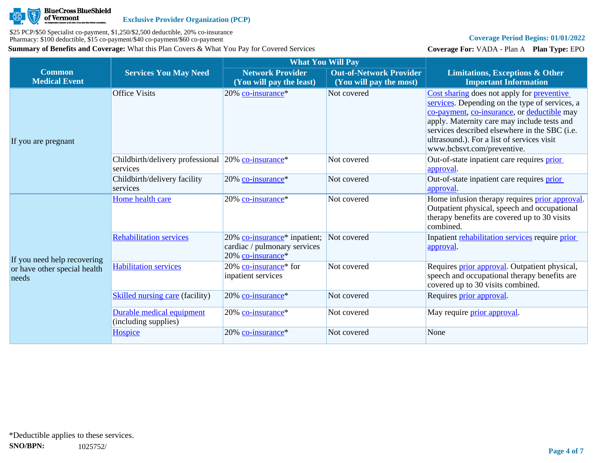

# **Coverage Period Begins: 01/01/2022**

**Coverage For:** VADA - Plan A **Plan Type:** EPO

|                                       |                                                                            | <b>What You Will Pay</b>                                                                      |                                                           |                                                                                                                                                                                                                                                                                                                         |
|---------------------------------------|----------------------------------------------------------------------------|-----------------------------------------------------------------------------------------------|-----------------------------------------------------------|-------------------------------------------------------------------------------------------------------------------------------------------------------------------------------------------------------------------------------------------------------------------------------------------------------------------------|
| <b>Common</b><br><b>Medical Event</b> | <b>Services You May Need</b>                                               | <b>Network Provider</b><br>(You will pay the least)                                           | <b>Out-of-Network Provider</b><br>(You will pay the most) | <b>Limitations, Exceptions &amp; Other</b><br><b>Important Information</b>                                                                                                                                                                                                                                              |
| If you are pregnant                   | <b>Office Visits</b>                                                       | 20% co-insurance*                                                                             | Not covered                                               | Cost sharing does not apply for preventive<br>services. Depending on the type of services, a<br>co-payment, co-insurance, or deductible may<br>apply. Maternity care may include tests and<br>services described elsewhere in the SBC (i.e.<br>ultrasound.). For a list of services visit<br>www.bcbsvt.com/preventive. |
|                                       | Childbirth/delivery professional 20% co-insurance <sup>*</sup><br>services |                                                                                               | Not covered                                               | Out-of-state inpatient care requires prior<br>approval.                                                                                                                                                                                                                                                                 |
|                                       | Childbirth/delivery facility<br>services                                   | 20% co-insurance*                                                                             | Not covered                                               | Out-of-state inpatient care requires prior<br>approval                                                                                                                                                                                                                                                                  |
|                                       | Home health care                                                           | 20% co-insurance*                                                                             | Not covered                                               | Home infusion therapy requires <b>prior approval</b> .<br>Outpatient physical, speech and occupational<br>therapy benefits are covered up to 30 visits<br>combined.                                                                                                                                                     |
| If you need help recovering           | <b>Rehabilitation services</b>                                             | 20% co-insurance <sup>*</sup> inpatient;<br>cardiac / pulmonary services<br>20% co-insurance* | Not covered                                               | Inpatient rehabilitation services require prior<br>approval.                                                                                                                                                                                                                                                            |
| or have other special health<br>needs | <b>Habilitation services</b>                                               | 20% co-insurance <sup>*</sup> for<br>inpatient services                                       | Not covered                                               | Requires <i>prior approval</i> . Outpatient physical,<br>speech and occupational therapy benefits are<br>covered up to 30 visits combined.                                                                                                                                                                              |
|                                       | <b>Skilled nursing care (facility)</b>                                     | 20% co-insurance*                                                                             | Not covered                                               | Requires prior approval.                                                                                                                                                                                                                                                                                                |
|                                       | Durable medical equipment<br>(including supplies)                          | 20% co-insurance*                                                                             | Not covered                                               | May require <i>prior approval</i> .                                                                                                                                                                                                                                                                                     |
|                                       | Hospice                                                                    | 20% co-insurance*                                                                             | Not covered                                               | None                                                                                                                                                                                                                                                                                                                    |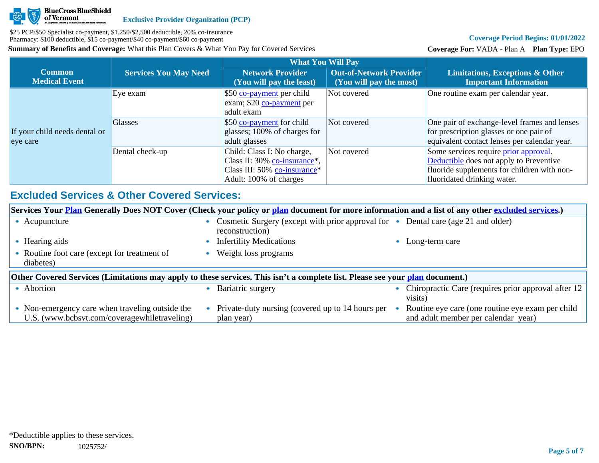

# **Coverage Period Begins: 01/01/2022**

**Coverage For:** VADA - Plan A **Plan Type:** EPO

|                                           |                              | <b>What You Will Pay</b>                                                                                                          |                                                           |                                                                                                                                                                |
|-------------------------------------------|------------------------------|-----------------------------------------------------------------------------------------------------------------------------------|-----------------------------------------------------------|----------------------------------------------------------------------------------------------------------------------------------------------------------------|
| <b>Common</b><br><b>Medical Event</b>     | <b>Services You May Need</b> | <b>Network Provider</b><br>(You will pay the least)                                                                               | <b>Out-of-Network Provider</b><br>(You will pay the most) | <b>Limitations, Exceptions &amp; Other</b><br><b>Important Information</b>                                                                                     |
|                                           | Eye exam                     | \$50 co-payment per child<br>exam; \$20 co-payment per<br>adult exam                                                              | Not covered                                               | One routine exam per calendar year.                                                                                                                            |
| If your child needs dental or<br>eye care | <b>Glasses</b>               | \$50 co-payment for child<br>glasses; 100% of charges for<br>adult glasses                                                        | Not covered                                               | One pair of exchange-level frames and lenses<br>for prescription glasses or one pair of<br>equivalent contact lenses per calendar year.                        |
|                                           | Dental check-up              | Child: Class I: No charge,<br>Class II: 30% co-insurance <sup>*</sup> ,<br>Class III: 50% co-insurance*<br>Adult: 100% of charges | Not covered                                               | Some services require prior approval.<br>Deductible does not apply to Preventive<br>fluoride supplements for children with non-<br>fluoridated drinking water. |

# **Excluded Services & Other Covered Services:**

| Services Your <b>Plan</b> Generally Does NOT Cover (Check your policy or plan document for more information and a list of any other excluded services.) |                                                                                                                   |                                                                |
|---------------------------------------------------------------------------------------------------------------------------------------------------------|-------------------------------------------------------------------------------------------------------------------|----------------------------------------------------------------|
| • Acupuncture                                                                                                                                           | Cosmetic Surgery (except with prior approval for • Dental care (age 21 and older)<br>$\bullet$<br>reconstruction) |                                                                |
| Hearing aids                                                                                                                                            | <b>Infertility Medications</b>                                                                                    | Long-term care                                                 |
| Routine foot care (except for treatment of<br>diabetes)                                                                                                 | Weight loss programs                                                                                              |                                                                |
| Other Covered Services (Limitations may apply to these services. This isn't a complete list. Please see your plan document.)                            |                                                                                                                   |                                                                |
| • Abortion                                                                                                                                              |                                                                                                                   |                                                                |
|                                                                                                                                                         | Bariatric surgery                                                                                                 | Chiropractic Care (requires prior approval after 12<br>visits) |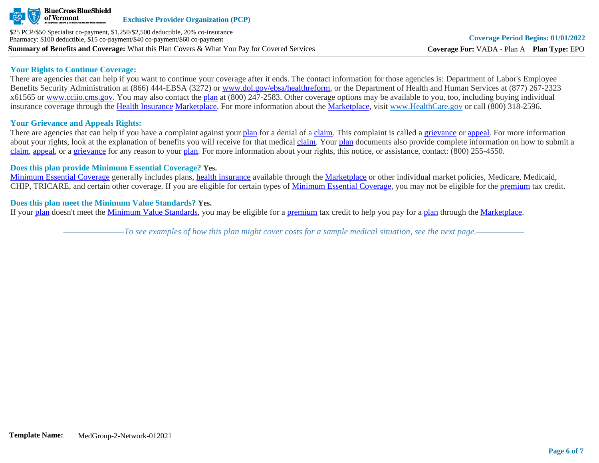

#### **Your Rights to Continue Coverage:**

There are agencies that can help if you want to continue your coverage after it ends. The contact information for those agencies is: Department of Labor's Employee Benefits Security Administration at (866) 444-EBSA (3272) or [www.dol.gov/ebsa/healthreform](http://www.dol.gov/ebsa/healthreform), or the Department of Health and Human Services at (877) 267-2323 x61565 or [www.cciio.cms.gov](http://www.cciio.cms.gov/). You may also contact the [plan](https://www.healthcare.gov/sbc-glossary/#plan) at (800) 247-2583. Other coverage options may be available to you, too, including buying individual insurance coverage through the [Health Insurance](https://www.healthcare.gov/sbc-glossary/#health-insurance) [Marketplace.](https://www.healthcare.gov/sbc-glossary/#marketplace) For more information about the [Marketplace,](https://www.healthcare.gov/sbc-glossary/#marketplace) visit [www.HealthCare.gov](http://www.healthcare.gov/) or call (800) 318-2596.

# **Your Grievance and Appeals Rights:**

There are agencies that can help if you have a complaint against your [plan](https://www.healthcare.gov/sbc-glossary/#plan) for a denial of a [claim.](https://www.healthcare.gov/sbc-glossary/#claim) This complaint is called a [grievance](https://www.healthcare.gov/sbc-glossary/#grievance) or [appeal](https://www.healthcare.gov/sbc-glossary/#appeal). For more information about your rights, look at the explanation of benefits you will receive for that medical [claim](https://www.healthcare.gov/sbc-glossary/#claim). Your [plan](https://www.healthcare.gov/sbc-glossary/#plan) documents also provide complete information on how to submit a [claim](https://www.healthcare.gov/sbc-glossary/#claim), [appeal](https://www.healthcare.gov/sbc-glossary/#appeal), or a [grievance](https://www.healthcare.gov/sbc-glossary/#grievance) for any reason to your [plan.](https://www.healthcare.gov/sbc-glossary/#plan) For more information about your rights, this notice, or assistance, contact: (800) 255-4550.

### **Does this plan provide Minimum Essential Coverage? Yes.**

[Minimum Essential Coverage](https://www.healthcare.gov/sbc-glossary/#minimum-essential-coverage) generally includes plans, [health insurance](https://www.healthcare.gov/sbc-glossary/#health-insurance) available through the [Marketplace](https://www.healthcare.gov/sbc-glossary/#marketplace) or other individual market policies, Medicare, Medicaid, CHIP, TRICARE, and certain other coverage. If you are eligible for certain types of [Minimum Essential Coverage](https://www.healthcare.gov/sbc-glossary/#minimum-essential-coverage), you may not be eligible for the [premium](https://www.healthcare.gov/sbc-glossary/#premium) tax credit.

### **Does this plan meet the Minimum Value Standards? Yes.**

If your [plan](https://www.healthcare.gov/sbc-glossary/#plan) doesn't meet the [Minimum Value Standards](https://www.healthcare.gov/sbc-glossary/#minimum-value-standard), you may be eligible for a [premium](https://www.healthcare.gov/sbc-glossary/#premium) tax credit to help you pay for a [plan](https://www.healthcare.gov/sbc-glossary/#plan) through the [Marketplace](https://www.healthcare.gov/sbc-glossary/#marketplace).

*––––––––––––––To see examples of how this plan might cover costs for a sample medical situation, see the next page.–––––––––––*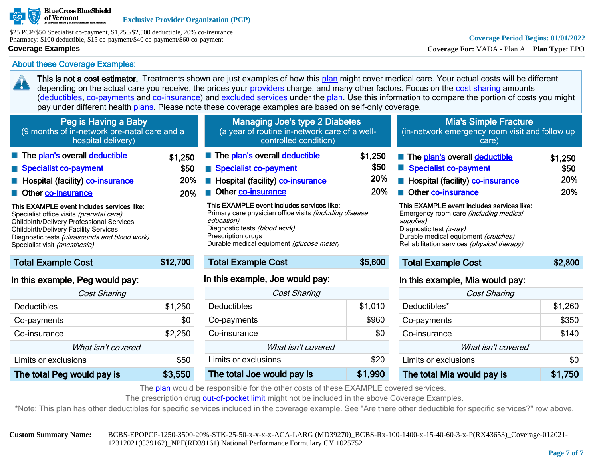

\$25 PCP/\$50 Specialist co-payment, \$1,250/\$2,500 deductible, 20% co-insurance Pharmacy: \$100 deductible, \$15 co-payment/\$40 co-payment/\$60 co-payment

#### **Coverage Examples**

45

**Coverage For:** VADA - Plan A **Plan Type:** EPO

Co-payments \$350 Co-insurance \$140 What isn't covered Limits or exclusions  $\sim$  \$0 The total Mia would pay is **\$1,750** 

About these Coverage Examples:

This is not a cost estimator. Treatments shown are just examples of how this [plan](https://www.healthcare.gov/sbc-glossary/#plan) might cover medical care. Your actual costs will be different depending on the actual care you receive, the prices your [providers](https://www.healthcare.gov/sbc-glossary/#provider) charge, and many other factors. Focus on the [cost sharing](https://www.healthcare.gov/sbc-glossary/#cost-sharing) amounts ([deductibles,](https://www.healthcare.gov/sbc-glossary/#deductible) [co-payments](https://www.healthcare.gov/sbc-glossary/#co-payment) and [co-insurance\)](https://www.healthcare.gov/sbc-glossary/#co-insurance) and [excluded services](https://www.healthcare.gov/sbc-glossary/#excluded-services) under the [plan](https://www.healthcare.gov/sbc-glossary/#plan). Use this information to compare the portion of costs you might pay under different health [plans.](https://www.healthcare.gov/sbc-glossary/#plan) Please note these coverage examples are based on self-only coverage.

| Peg is Having a Baby<br>(9 months of in-network pre-natal care and a<br>hospital delivery)                                                                                                                                                                                                                                                                                                       |                               | <b>Managing Joe's type 2 Diabetes</b><br>(a year of routine in-network care of a well-<br>controlled condition)                                                                                                                                                                                                                             |                               | <b>Mia's Simple Fracture</b><br>(in-network emergency room visit and follow up<br>care)                                                                                                                                                                                                                                                       |                               |
|--------------------------------------------------------------------------------------------------------------------------------------------------------------------------------------------------------------------------------------------------------------------------------------------------------------------------------------------------------------------------------------------------|-------------------------------|---------------------------------------------------------------------------------------------------------------------------------------------------------------------------------------------------------------------------------------------------------------------------------------------------------------------------------------------|-------------------------------|-----------------------------------------------------------------------------------------------------------------------------------------------------------------------------------------------------------------------------------------------------------------------------------------------------------------------------------------------|-------------------------------|
| The plan's overall deductible<br>Specialist co-payment<br>Hospital (facility) co-insurance<br>Other co-insurance<br>This EXAMPLE event includes services like:<br>Specialist office visits (prenatal care)<br><b>Childbirth/Delivery Professional Services</b><br><b>Childbirth/Delivery Facility Services</b><br>Diagnostic tests (ultrasounds and blood work)<br>Specialist visit (anesthesia) | \$1.250<br>\$50<br>20%<br>20% | The plan's overall deductible<br>Specialist co-payment<br>Hospital (facility) co-insurance<br>Other co-insurance<br>This EXAMPLE event includes services like:<br>Primary care physician office visits (including disease<br>education)<br>Diagnostic tests (blood work)<br>Prescription drugs<br>Durable medical equipment (glucose meter) | \$1,250<br>\$50<br>20%<br>20% | The plan's overall deductible<br>Specialist co-payment<br>Hospital (facility) co-insurance<br>Other co-insurance<br>This EXAMPLE event includes services like:<br>Emergency room care <i>(including medical</i><br>supplies)<br>Diagnostic test (x-ray)<br>Durable medical equipment (crutches)<br>Rehabilitation services (physical therapy) | \$1,250<br>\$50<br>20%<br>20% |
| <b>Total Example Cost</b>                                                                                                                                                                                                                                                                                                                                                                        | \$12,700                      | <b>Total Example Cost</b>                                                                                                                                                                                                                                                                                                                   | \$5,600                       | <b>Total Example Cost</b>                                                                                                                                                                                                                                                                                                                     | \$2,800                       |
| In this example, Peg would pay:                                                                                                                                                                                                                                                                                                                                                                  |                               | In this example, Joe would pay:                                                                                                                                                                                                                                                                                                             |                               | In this example, Mia would pay:                                                                                                                                                                                                                                                                                                               |                               |
| <b>Cost Sharing</b>                                                                                                                                                                                                                                                                                                                                                                              |                               | Cost Sharing                                                                                                                                                                                                                                                                                                                                |                               | <b>Cost Sharing</b>                                                                                                                                                                                                                                                                                                                           |                               |
| Deductibles                                                                                                                                                                                                                                                                                                                                                                                      | \$1,250                       | <b>Deductibles</b>                                                                                                                                                                                                                                                                                                                          | \$1,010                       | Deductibles*                                                                                                                                                                                                                                                                                                                                  | \$1,260                       |
| Co-payments                                                                                                                                                                                                                                                                                                                                                                                      | \$0                           | Co-payments                                                                                                                                                                                                                                                                                                                                 | \$960                         | Co-payments                                                                                                                                                                                                                                                                                                                                   | \$350                         |

|--|

Co-insurance \$0 What isn't covered Limits or exclusions **\$20** The total Joe would pay is **\$1,990** 

The prescription drug [out-of-pocket limit](https://www.healthcare.gov/sbc-glossary/#out-of-pocket-limit) might not be included in the above Coverage Examples.

\*Note: This plan has other deductibles for specific services included in the coverage example. See "Are there other deductible for specific services?" row above.

Co-payments \$0 Co-insurance \$2,250 What isn't covered Limits or exclusions the study of the study study study study study study study study study study study study study study study study study study study study study study study study study study study study study study stud The total Peg would pay is \$3,550

**Custom Summary Name:** BCBS-EPOPCP-1250-3500-20%-STK-25-50-x-x-x-x-ACA-LARG (MD39270)\_BCBS-Rx-100-1400-x-15-40-60-3-x-P(RX43653)\_Coverage-012021- 12312021(C39162)\_NPF(RD39161) National Performance Formulary CY 1025752